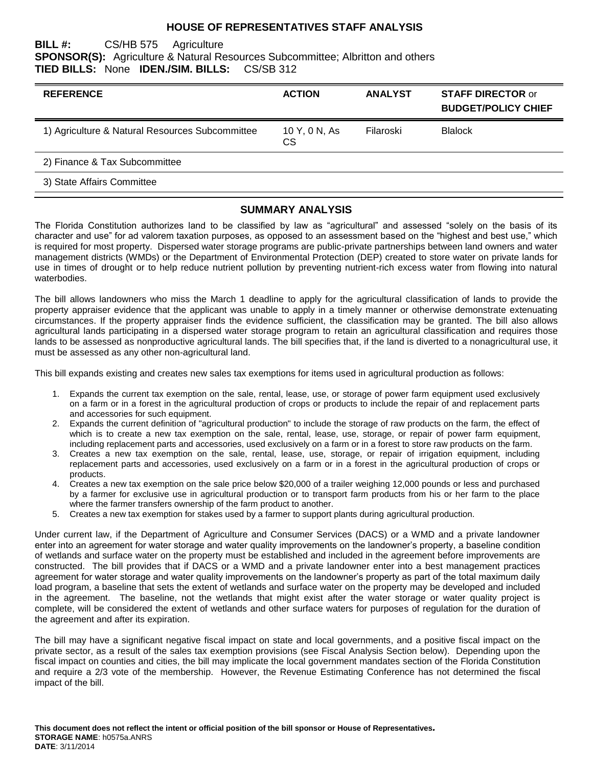#### **HOUSE OF REPRESENTATIVES STAFF ANALYSIS**

#### **BILL #:** CS/HB 575 Agriculture **SPONSOR(S):** Agriculture & Natural Resources Subcommittee; Albritton and others **TIED BILLS:** None **IDEN./SIM. BILLS:** CS/SB 312

| <b>REFERENCE</b>                                | <b>ACTION</b>        | <b>ANALYST</b> | <b>STAFF DIRECTOR or</b><br><b>BUDGET/POLICY CHIEF</b> |
|-------------------------------------------------|----------------------|----------------|--------------------------------------------------------|
| 1) Agriculture & Natural Resources Subcommittee | 10 Y, 0 N, As<br>CS. | Filaroski      | <b>Blalock</b>                                         |
| 2) Finance & Tax Subcommittee                   |                      |                |                                                        |
| 3) State Affairs Committee                      |                      |                |                                                        |

#### **SUMMARY ANALYSIS**

The Florida Constitution authorizes land to be classified by law as "agricultural" and assessed "solely on the basis of its character and use" for ad valorem taxation purposes, as opposed to an assessment based on the "highest and best use," which is required for most property. Dispersed water storage programs are public-private partnerships between land owners and water management districts (WMDs) or the Department of Environmental Protection (DEP) created to store water on private lands for use in times of drought or to help reduce nutrient pollution by preventing nutrient-rich excess water from flowing into natural waterbodies.

The bill allows landowners who miss the March 1 deadline to apply for the agricultural classification of lands to provide the property appraiser evidence that the applicant was unable to apply in a timely manner or otherwise demonstrate extenuating circumstances. If the property appraiser finds the evidence sufficient, the classification may be granted. The bill also allows agricultural lands participating in a dispersed water storage program to retain an agricultural classification and requires those lands to be assessed as nonproductive agricultural lands. The bill specifies that, if the land is diverted to a nonagricultural use, it must be assessed as any other non-agricultural land.

This bill expands existing and creates new sales tax exemptions for items used in agricultural production as follows:

- 1. Expands the current tax exemption on the sale, rental, lease, use, or storage of power farm equipment used exclusively on a farm or in a forest in the agricultural production of crops or products to include the repair of and replacement parts and accessories for such equipment.
- 2. Expands the current definition of "agricultural production" to include the storage of raw products on the farm, the effect of which is to create a new tax exemption on the sale, rental, lease, use, storage, or repair of power farm equipment, including replacement parts and accessories, used exclusively on a farm or in a forest to store raw products on the farm.
- 3. Creates a new tax exemption on the sale, rental, lease, use, storage, or repair of irrigation equipment, including replacement parts and accessories, used exclusively on a farm or in a forest in the agricultural production of crops or products.
- 4. Creates a new tax exemption on the sale price below \$20,000 of a trailer weighing 12,000 pounds or less and purchased by a farmer for exclusive use in agricultural production or to transport farm products from his or her farm to the place where the farmer transfers ownership of the farm product to another.
- 5. Creates a new tax exemption for stakes used by a farmer to support plants during agricultural production.

Under current law, if the Department of Agriculture and Consumer Services (DACS) or a WMD and a private landowner enter into an agreement for water storage and water quality improvements on the landowner's property, a baseline condition of wetlands and surface water on the property must be established and included in the agreement before improvements are constructed. The bill provides that if DACS or a WMD and a private landowner enter into a best management practices agreement for water storage and water quality improvements on the landowner's property as part of the total maximum daily load program, a baseline that sets the extent of wetlands and surface water on the property may be developed and included in the agreement. The baseline, not the wetlands that might exist after the water storage or water quality project is complete, will be considered the extent of wetlands and other surface waters for purposes of regulation for the duration of the agreement and after its expiration.

The bill may have a significant negative fiscal impact on state and local governments, and a positive fiscal impact on the private sector, as a result of the sales tax exemption provisions (see Fiscal Analysis Section below). Depending upon the fiscal impact on counties and cities, the bill may implicate the local government mandates section of the Florida Constitution and require a 2/3 vote of the membership. However, the Revenue Estimating Conference has not determined the fiscal impact of the bill.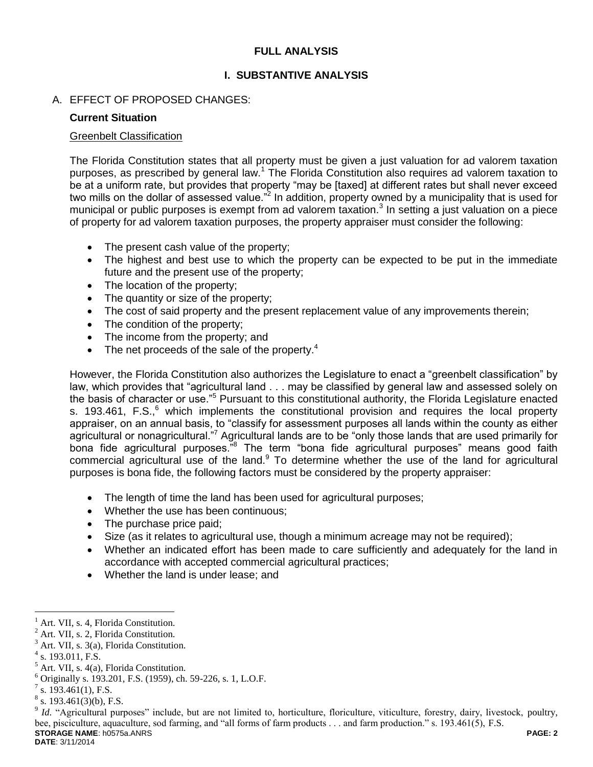## **FULL ANALYSIS**

# **I. SUBSTANTIVE ANALYSIS**

## A. EFFECT OF PROPOSED CHANGES:

#### **Current Situation**

#### Greenbelt Classification

The Florida Constitution states that all property must be given a just valuation for ad valorem taxation purposes, as prescribed by general law.<sup>1</sup> The Florida Constitution also requires ad valorem taxation to be at a uniform rate, but provides that property "may be [taxed] at different rates but shall never exceed two mills on the dollar of assessed value."<sup>2</sup> In addition, property owned by a municipality that is used for municipal or public purposes is exempt from ad valorem taxation. $3$  In setting a just valuation on a piece of property for ad valorem taxation purposes, the property appraiser must consider the following:

- The present cash value of the property;
- The highest and best use to which the property can be expected to be put in the immediate future and the present use of the property;
- The location of the property;
- The quantity or size of the property;
- The cost of said property and the present replacement value of any improvements therein;
- The condition of the property;
- The income from the property: and
- $\bullet$  The net proceeds of the sale of the property.<sup>4</sup>

However, the Florida Constitution also authorizes the Legislature to enact a "greenbelt classification" by law, which provides that "agricultural land . . . may be classified by general law and assessed solely on the basis of character or use."<sup>5</sup> Pursuant to this constitutional authority, the Florida Legislature enacted s. 193.461, F.S., $^{6}$  which implements the constitutional provision and requires the local property appraiser, on an annual basis, to "classify for assessment purposes all lands within the county as either agricultural or nonagricultural.<sup>"7</sup> Agricultural lands are to be "only those lands that are used primarily for bona fide agricultural purposes."<sup>8</sup> The term "bona fide agricultural purposes" means good faith commercial agricultural use of the land.<sup>9</sup> To determine whether the use of the land for agricultural purposes is bona fide, the following factors must be considered by the property appraiser:

- The length of time the land has been used for agricultural purposes;
- Whether the use has been continuous;
- The purchase price paid;
- Size (as it relates to agricultural use, though a minimum acreage may not be required);
- Whether an indicated effort has been made to care sufficiently and adequately for the land in accordance with accepted commercial agricultural practices;
- Whether the land is under lease; and

 $\overline{a}$ Art. VII, s. 4, Florida Constitution.

<sup>2</sup> Art. VII, s. 2, Florida Constitution.

Art. VII, s. 3(a), Florida Constitution.

 $4$  s. 193.011, F.S.

 $<sup>5</sup>$  Art. VII, s. 4(a), Florida Constitution.</sup>

<sup>6</sup> Originally s. 193.201, F.S. (1959), ch. 59-226, s. 1, L.O.F.

<sup>&</sup>lt;sup>7</sup> s. 193.461(1), F.S.

s. 193.461(3)(b), F.S.

**STORAGE NAME**: h0575a.ANRS **PAGE: 2** <sup>9</sup> Id. "Agricultural purposes" include, but are not limited to, horticulture, floriculture, viticulture, forestry, dairy, livestock, poultry, bee, pisciculture, aquaculture, sod farming, and "all forms of farm products . . . and farm production." s. 193.461(5), F.S.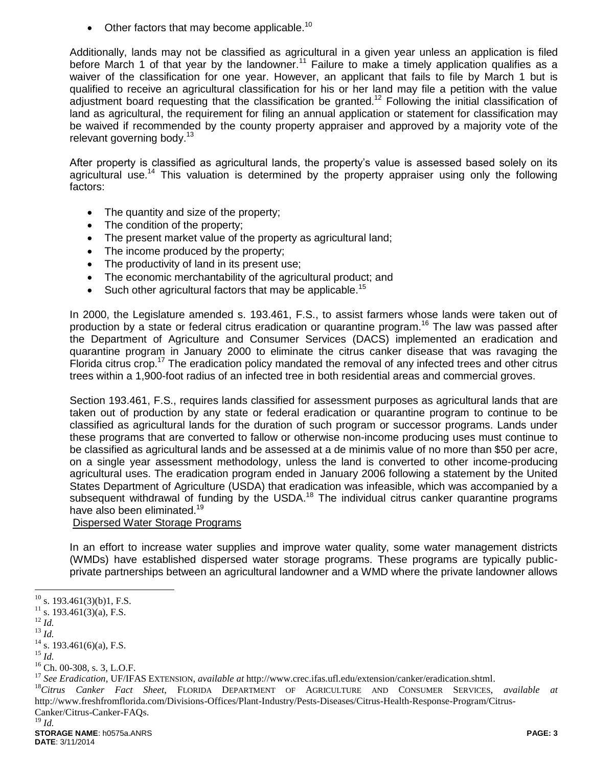$\bullet$  Other factors that may become applicable.<sup>10</sup>

Additionally, lands may not be classified as agricultural in a given year unless an application is filed before March 1 of that year by the landowner.<sup>11</sup> Failure to make a timely application qualifies as a waiver of the classification for one year. However, an applicant that fails to file by March 1 but is qualified to receive an agricultural classification for his or her land may file a petition with the value adjustment board requesting that the classification be granted.<sup>12</sup> Following the initial classification of land as agricultural, the requirement for filing an annual application or statement for classification may be waived if recommended by the county property appraiser and approved by a majority vote of the relevant governing body.<sup>13</sup>

After property is classified as agricultural lands, the property's value is assessed based solely on its agricultural use.<sup>14</sup> This valuation is determined by the property appraiser using only the following factors:

- The quantity and size of the property;
- The condition of the property;
- The present market value of the property as agricultural land;
- The income produced by the property;
- The productivity of land in its present use;
- The economic merchantability of the agricultural product; and
- Such other agricultural factors that may be applicable.<sup>15</sup>

In 2000, the Legislature amended s. 193.461, F.S., to assist farmers whose lands were taken out of production by a state or federal citrus eradication or quarantine program.<sup>16</sup> The law was passed after the Department of Agriculture and Consumer Services (DACS) implemented an eradication and quarantine program in January 2000 to eliminate the citrus canker disease that was ravaging the Florida citrus crop.<sup>17</sup> The eradication policy mandated the removal of any infected trees and other citrus trees within a 1,900-foot radius of an infected tree in both residential areas and commercial groves.

Section 193.461, F.S., requires lands classified for assessment purposes as agricultural lands that are taken out of production by any state or federal eradication or quarantine program to continue to be classified as agricultural lands for the duration of such program or successor programs. Lands under these programs that are converted to fallow or otherwise non-income producing uses must continue to be classified as agricultural lands and be assessed at a de minimis value of no more than \$50 per acre, on a single year assessment methodology, unless the land is converted to other income-producing agricultural uses. The eradication program ended in January 2006 following a statement by the United States Department of Agriculture (USDA) that eradication was infeasible, which was accompanied by a subsequent withdrawal of funding by the USDA.<sup>18</sup> The individual citrus canker quarantine programs have also been eliminated.<sup>19</sup>

### Dispersed Water Storage Programs

In an effort to increase water supplies and improve water quality, some water management districts (WMDs) have established dispersed water storage programs. These programs are typically publicprivate partnerships between an agricultural landowner and a WMD where the private landowner allows

 $\overline{a}$ 

<sup>18</sup>*Citrus Canker Fact Sheet*, FLORIDA DEPARTMENT OF AGRICULTURE AND CONSUMER SERVICES, *available at*  http://www.freshfromflorida.com/Divisions-Offices/Plant-Industry/Pests-Diseases/Citrus-Health-Response-Program/Citrus-Canker/Citrus-Canker-FAQs.

<sup>19</sup> *Id.*

 $10$  s. 193.461(3)(b)1, F.S.

 $11$  s. 193.461(3)(a), F.S.

<sup>12</sup> *Id.*

<sup>13</sup> *Id.*

 $14$  s. 193.461(6)(a), F.S.

<sup>15</sup> *Id.*

<sup>&</sup>lt;sup>16</sup> Ch. 00-308, s. 3, L.O.F.

<sup>17</sup> *See Eradication*, UF/IFAS EXTENSION, *available at* http://www.crec.ifas.ufl.edu/extension/canker/eradication.shtml.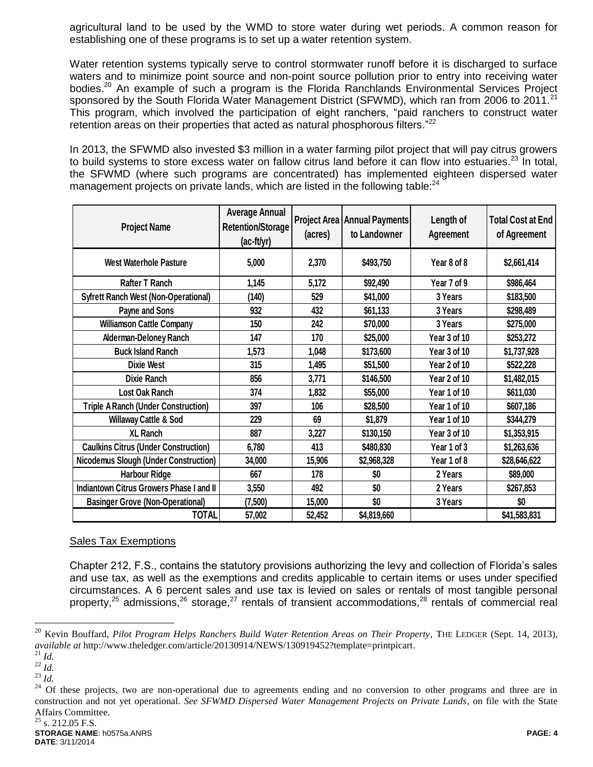agricultural land to be used by the WMD to store water during wet periods. A common reason for establishing one of these programs is to set up a water retention system.

Water retention systems typically serve to control stormwater runoff before it is discharged to surface waters and to minimize point source and non-point source pollution prior to entry into receiving water bodies.<sup>20</sup> An example of such a program is the Florida Ranchlands Environmental Services Project sponsored by the South Florida Water Management District (SFWMD), which ran from 2006 to 2011.<sup>21</sup> This program, which involved the participation of eight ranchers, "paid ranchers to construct water retention areas on their properties that acted as natural phosphorous filters. $22$ 

In 2013, the SFWMD also invested \$3 million in a water farming pilot project that will pay citrus growers to build systems to store excess water on fallow citrus land before it can flow into estuaries.<sup>23</sup> In total, the SFWMD (where such programs are concentrated) has implemented eighteen dispersed water management projects on private lands, which are listed in the following table:<sup>24</sup>

| <b>Project Name</b>                          | <b>Average Annual</b><br><b>Retention/Storage</b><br>$(ac-ft/yr)$ | (acres) | <b>Project Area   Annual Payments </b><br>to Landowner | Length of<br>Agreement | <b>Total Cost at End</b><br>of Agreement |
|----------------------------------------------|-------------------------------------------------------------------|---------|--------------------------------------------------------|------------------------|------------------------------------------|
| West Waterhole Pasture                       | 5,000                                                             | 2,370   | \$493,750                                              | Year 8 of 8            | \$2,661,414                              |
| Rafter T Ranch                               | 1,145                                                             | 5,172   | \$92,490                                               | Year 7 of 9            | \$986,464                                |
| <b>Syfrett Ranch West (Non-Operational)</b>  | (140)                                                             | 529     | \$41,000                                               | 3 Years                | \$183,500                                |
| Payne and Sons                               | 932                                                               | 432     | \$61,133                                               | 3 Years                | \$298,489                                |
| <b>Williamson Cattle Company</b>             | 150                                                               | 242     | \$70,000                                               | 3 Years                | \$275,000                                |
| <b>Alderman-Deloney Ranch</b>                | 147                                                               | 170     | \$25,000                                               | Year 3 of 10           | \$253,272                                |
| <b>Buck Island Ranch</b>                     | 1,573                                                             | 1,048   | \$173,600                                              | Year 3 of 10           | \$1,737,928                              |
| <b>Dixie West</b>                            | 315                                                               | 1,495   | \$51,500                                               | Year 2 of 10           | \$522,228                                |
| <b>Dixie Ranch</b>                           | 856                                                               | 3,771   | \$146,500                                              | Year 2 of 10           | \$1,482,015                              |
| Lost Oak Ranch                               | 374                                                               | 1,832   | \$55,000                                               | Year 1 of 10           | \$611,030                                |
| <b>Triple A Ranch (Under Construction)</b>   | 397                                                               | 106     | \$28,500                                               | Year 1 of 10           | \$607,186                                |
| <b>Willaway Cattle &amp; Sod</b>             | 229                                                               | 69      | \$1,879                                                | Year 1 of 10           | \$344,279                                |
| <b>XL Ranch</b>                              | 887                                                               | 3,227   | \$130,150                                              | Year 3 of 10           | \$1,353,915                              |
| <b>Caulkins Citrus (Under Construction)</b>  | 6,780                                                             | 413     | \$480,830                                              | Year 1 of 3            | \$1,263,636                              |
| <b>Nicodemus Slough (Under Construction)</b> | 34,000                                                            | 15,906  | \$2,968,328                                            | Year 1 of 8            | \$28,646,622                             |
| <b>Harbour Ridge</b>                         | 667                                                               | 178     | \$0                                                    | 2 Years                | \$89,000                                 |
| Indiantown Citrus Growers Phase I and II     | 3,550                                                             | 492     | \$0                                                    | 2 Years                | \$267,853                                |
| <b>Basinger Grove (Non-Operational)</b>      | (7,500)                                                           | 15,000  | \$0                                                    | 3 Years                | \$0                                      |
| <b>TOTAL</b>                                 | 57,002                                                            | 52,452  | \$4,819,660                                            |                        | \$41,583,831                             |

#### Sales Tax Exemptions

Chapter 212, F.S., contains the statutory provisions authorizing the levy and collection of Florida's sales and use tax, as well as the exemptions and credits applicable to certain items or uses under specified circumstances. A 6 percent sales and use tax is levied on sales or rentals of most tangible personal property,<sup>25</sup> admissions,<sup>26</sup> storage,<sup>27</sup> rentals of transient accommodations,<sup>28</sup> rentals of commercial real

 $\overline{a}$ 

<sup>20</sup> Kevin Bouffard, *Pilot Program Helps Ranchers Build Water Retention Areas on Their Property*, THE LEDGER (Sept. 14, 2013), *available at* http://www.theledger.com/article/20130914/NEWS/130919452?template=printpicart.

<sup>21</sup> *Id.*

<sup>22</sup> *Id.*

<sup>23</sup> *Id.*

<sup>&</sup>lt;sup>24</sup> Of these projects, two are non-operational due to agreements ending and no conversion to other programs and three are in construction and not yet operational. *See SFWMD Dispersed Water Management Projects on Private Lands*, on file with the State Affairs Committee.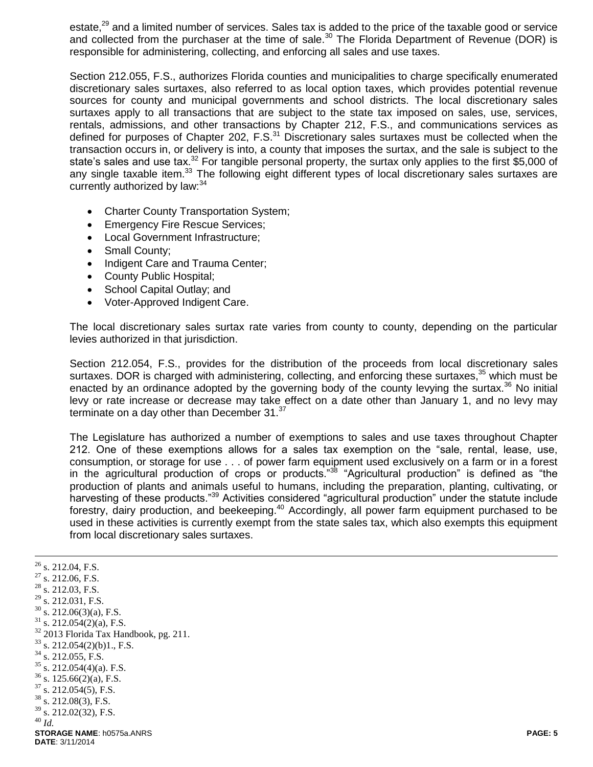estate,<sup>29</sup> and a limited number of services. Sales tax is added to the price of the taxable good or service and collected from the purchaser at the time of sale.<sup>30</sup> The Florida Department of Revenue (DOR) is responsible for administering, collecting, and enforcing all sales and use taxes.

Section 212.055, F.S., authorizes Florida counties and municipalities to charge specifically enumerated discretionary sales surtaxes, also referred to as local option taxes, which provides potential revenue sources for county and municipal governments and school districts. The local discretionary sales surtaxes apply to all transactions that are subject to the state tax imposed on sales, use, services, rentals, admissions, and other transactions by Chapter 212, F.S., and communications services as defined for purposes of Chapter 202, F.S. $31$  Discretionary sales surtaxes must be collected when the transaction occurs in, or delivery is into, a county that imposes the surtax, and the sale is subject to the state's sales and use tax.<sup>32</sup> For tangible personal property, the surtax only applies to the first \$5,000 of any single taxable item.<sup>33</sup> The following eight different types of local discretionary sales surtaxes are currently authorized by law: 34

- Charter County Transportation System;
- **Emergency Fire Rescue Services;**
- Local Government Infrastructure;
- Small County;
- Indigent Care and Trauma Center;
- County Public Hospital;
- School Capital Outlay; and
- Voter-Approved Indigent Care.

The local discretionary sales surtax rate varies from county to county, depending on the particular levies authorized in that jurisdiction.

Section 212.054, F.S., provides for the distribution of the proceeds from local discretionary sales surtaxes. DOR is charged with administering, collecting, and enforcing these surtaxes,<sup>35</sup> which must be enacted by an ordinance adopted by the governing body of the county levying the surtax. $36$  No initial levy or rate increase or decrease may take effect on a date other than January 1, and no levy may terminate on a day other than December  $31.^{37}$ 

The Legislature has authorized a number of exemptions to sales and use taxes throughout Chapter 212. One of these exemptions allows for a sales tax exemption on the "sale, rental, lease, use, consumption, or storage for use . . . of power farm equipment used exclusively on a farm or in a forest in the agricultural production of crops or products."<sup>38</sup> "Agricultural production" is defined as "the production of plants and animals useful to humans, including the preparation, planting, cultivating, or harvesting of these products."<sup>39</sup> Activities considered "agricultural production" under the statute include forestry, dairy production, and beekeeping.<sup>40</sup> Accordingly, all power farm equipment purchased to be used in these activities is currently exempt from the state sales tax, which also exempts this equipment from local discretionary sales surtaxes.

**STORAGE NAME**: h0575a.ANRS **PAGE: 5 DATE**: 3/11/2014  $\overline{a}$  $^{26}$  s. 212.04, F.S.  $27$  s. 212.06, F.S.  $^{28}$  s. 212.03, F.S.  $^{29}$  s. 212.031, F.S.<br> $^{30}$  s. 212.06(2)(s) s.  $212.06(3)(a)$ , F.S.  $31$  s. 212.054(2)(a), F.S. <sup>32</sup> 2013 Florida Tax Handbook, pg. 211.  $33$  s. 212.054(2)(b)1., F.S.  $34$  s. 212.055, F.S.  $35$  s. 212.054(4)(a). F.S.  $36$  s. 125.66(2)(a), F.S.  $37$  s. 212.054(5), F.S. s. 212.08(3), F.S.  $39$  s. 212.02(32), F.S. <sup>40</sup> *Id.*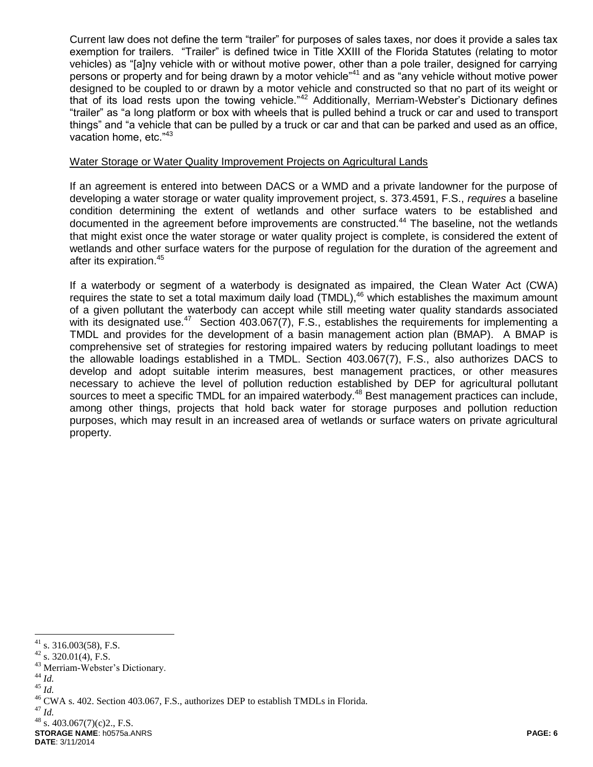Current law does not define the term "trailer" for purposes of sales taxes, nor does it provide a sales tax exemption for trailers. "Trailer" is defined twice in Title XXIII of the Florida Statutes (relating to motor vehicles) as "[a]ny vehicle with or without motive power, other than a pole trailer, designed for carrying persons or property and for being drawn by a motor vehicle"<sup>41</sup> and as "any vehicle without motive power designed to be coupled to or drawn by a motor vehicle and constructed so that no part of its weight or that of its load rests upon the towing vehicle."<sup>42</sup> Additionally, Merriam-Webster's Dictionary defines "trailer" as "a long platform or box with wheels that is pulled behind a truck or car and used to transport things" and "a vehicle that can be pulled by a truck or car and that can be parked and used as an office, vacation home, etc."<sup>43</sup>

#### Water Storage or Water Quality Improvement Projects on Agricultural Lands

If an agreement is entered into between DACS or a WMD and a private landowner for the purpose of developing a water storage or water quality improvement project, s. 373.4591, F.S., *requires* a baseline condition determining the extent of wetlands and other surface waters to be established and documented in the agreement before improvements are constructed.<sup>44</sup> The baseline, not the wetlands that might exist once the water storage or water quality project is complete, is considered the extent of wetlands and other surface waters for the purpose of regulation for the duration of the agreement and after its expiration.<sup>45</sup>

If a waterbody or segment of a waterbody is designated as impaired, the Clean Water Act (CWA) requires the state to set a total maximum daily load (TMDL),<sup>46</sup> which establishes the maximum amount of a given pollutant the waterbody can accept while still meeting water quality standards associated with its designated use.<sup>47</sup> Section 403.067(7), F.S., establishes the requirements for implementing a TMDL and provides for the development of a basin management action plan (BMAP). A BMAP is comprehensive set of strategies for restoring impaired waters by reducing pollutant loadings to meet the allowable loadings established in a TMDL. Section 403.067(7), F.S., also authorizes DACS to develop and adopt suitable interim measures, best management practices, or other measures necessary to achieve the level of pollution reduction established by DEP for agricultural pollutant sources to meet a specific TMDL for an impaired waterbody.<sup>48</sup> Best management practices can include, among other things, projects that hold back water for storage purposes and pollution reduction purposes, which may result in an increased area of wetlands or surface waters on private agricultural property.

- <sup>43</sup> Merriam-Webster's Dictionary.
- <sup>44</sup> *Id.*

 $\overline{a}$ 

 $45$   $\frac{1}{10}$ .

<sup>47</sup> *Id.*

 $41$  s. 316.003(58), F.S.

 $42$  s. 320.01(4), F.S.

<sup>&</sup>lt;sup>46</sup> CWA s. 402. Section 403.067, F.S., authorizes DEP to establish TMDLs in Florida.

**STORAGE NAME**: h0575a.ANRS **PAGE: 6**  $48$  s. 403.067(7)(c)2., F.S.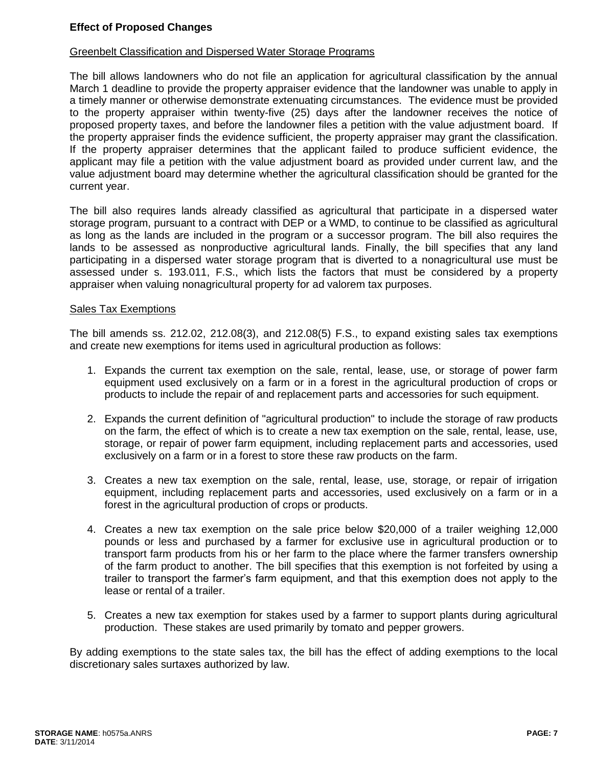## **Effect of Proposed Changes**

#### Greenbelt Classification and Dispersed Water Storage Programs

The bill allows landowners who do not file an application for agricultural classification by the annual March 1 deadline to provide the property appraiser evidence that the landowner was unable to apply in a timely manner or otherwise demonstrate extenuating circumstances. The evidence must be provided to the property appraiser within twenty-five (25) days after the landowner receives the notice of proposed property taxes, and before the landowner files a petition with the value adjustment board. If the property appraiser finds the evidence sufficient, the property appraiser may grant the classification. If the property appraiser determines that the applicant failed to produce sufficient evidence, the applicant may file a petition with the value adjustment board as provided under current law, and the value adjustment board may determine whether the agricultural classification should be granted for the current year.

The bill also requires lands already classified as agricultural that participate in a dispersed water storage program, pursuant to a contract with DEP or a WMD, to continue to be classified as agricultural as long as the lands are included in the program or a successor program. The bill also requires the lands to be assessed as nonproductive agricultural lands. Finally, the bill specifies that any land participating in a dispersed water storage program that is diverted to a nonagricultural use must be assessed under s. 193.011, F.S., which lists the factors that must be considered by a property appraiser when valuing nonagricultural property for ad valorem tax purposes.

#### Sales Tax Exemptions

The bill amends ss. 212.02, 212.08(3), and 212.08(5) F.S., to expand existing sales tax exemptions and create new exemptions for items used in agricultural production as follows:

- 1. Expands the current tax exemption on the sale, rental, lease, use, or storage of power farm equipment used exclusively on a farm or in a forest in the agricultural production of crops or products to include the repair of and replacement parts and accessories for such equipment.
- 2. Expands the current definition of "agricultural production" to include the storage of raw products on the farm, the effect of which is to create a new tax exemption on the sale, rental, lease, use, storage, or repair of power farm equipment, including replacement parts and accessories, used exclusively on a farm or in a forest to store these raw products on the farm.
- 3. Creates a new tax exemption on the sale, rental, lease, use, storage, or repair of irrigation equipment, including replacement parts and accessories, used exclusively on a farm or in a forest in the agricultural production of crops or products.
- 4. Creates a new tax exemption on the sale price below \$20,000 of a trailer weighing 12,000 pounds or less and purchased by a farmer for exclusive use in agricultural production or to transport farm products from his or her farm to the place where the farmer transfers ownership of the farm product to another. The bill specifies that this exemption is not forfeited by using a trailer to transport the farmer's farm equipment, and that this exemption does not apply to the lease or rental of a trailer.
- 5. Creates a new tax exemption for stakes used by a farmer to support plants during agricultural production. These stakes are used primarily by tomato and pepper growers.

By adding exemptions to the state sales tax, the bill has the effect of adding exemptions to the local discretionary sales surtaxes authorized by law.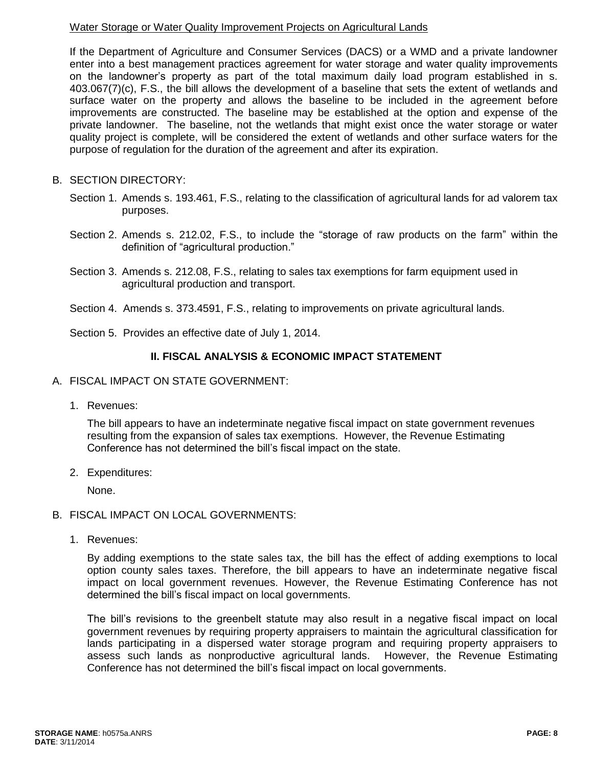## Water Storage or Water Quality Improvement Projects on Agricultural Lands

If the Department of Agriculture and Consumer Services (DACS) or a WMD and a private landowner enter into a best management practices agreement for water storage and water quality improvements on the landowner's property as part of the total maximum daily load program established in s. 403.067(7)(c), F.S., the bill allows the development of a baseline that sets the extent of wetlands and surface water on the property and allows the baseline to be included in the agreement before improvements are constructed. The baseline may be established at the option and expense of the private landowner. The baseline, not the wetlands that might exist once the water storage or water quality project is complete, will be considered the extent of wetlands and other surface waters for the purpose of regulation for the duration of the agreement and after its expiration.

# B. SECTION DIRECTORY:

- Section 1. Amends s. 193.461, F.S., relating to the classification of agricultural lands for ad valorem tax purposes.
- Section 2. Amends s. 212.02, F.S., to include the "storage of raw products on the farm" within the definition of "agricultural production."
- Section 3. Amends s. 212.08, F.S., relating to sales tax exemptions for farm equipment used in agricultural production and transport.
- Section 4. Amends s. 373.4591, F.S., relating to improvements on private agricultural lands.
- Section 5. Provides an effective date of July 1, 2014.

# **II. FISCAL ANALYSIS & ECONOMIC IMPACT STATEMENT**

- A. FISCAL IMPACT ON STATE GOVERNMENT:
	- 1. Revenues:

The bill appears to have an indeterminate negative fiscal impact on state government revenues resulting from the expansion of sales tax exemptions. However, the Revenue Estimating Conference has not determined the bill's fiscal impact on the state.

2. Expenditures:

None.

### B. FISCAL IMPACT ON LOCAL GOVERNMENTS:

1. Revenues:

By adding exemptions to the state sales tax, the bill has the effect of adding exemptions to local option county sales taxes. Therefore, the bill appears to have an indeterminate negative fiscal impact on local government revenues. However, the Revenue Estimating Conference has not determined the bill's fiscal impact on local governments.

The bill's revisions to the greenbelt statute may also result in a negative fiscal impact on local government revenues by requiring property appraisers to maintain the agricultural classification for lands participating in a dispersed water storage program and requiring property appraisers to assess such lands as nonproductive agricultural lands. However, the Revenue Estimating Conference has not determined the bill's fiscal impact on local governments.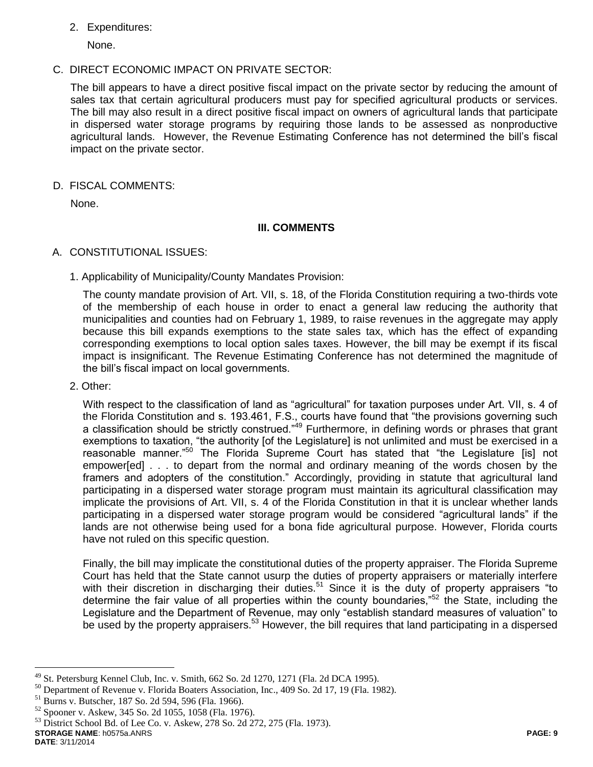## 2. Expenditures:

None.

C. DIRECT ECONOMIC IMPACT ON PRIVATE SECTOR:

The bill appears to have a direct positive fiscal impact on the private sector by reducing the amount of sales tax that certain agricultural producers must pay for specified agricultural products or services. The bill may also result in a direct positive fiscal impact on owners of agricultural lands that participate in dispersed water storage programs by requiring those lands to be assessed as nonproductive agricultural lands. However, the Revenue Estimating Conference has not determined the bill's fiscal impact on the private sector.

D. FISCAL COMMENTS:

None.

### **III. COMMENTS**

- A. CONSTITUTIONAL ISSUES:
	- 1. Applicability of Municipality/County Mandates Provision:

The county mandate provision of Art. VII, s. 18, of the Florida Constitution requiring a two-thirds vote of the membership of each house in order to enact a general law reducing the authority that municipalities and counties had on February 1, 1989, to raise revenues in the aggregate may apply because this bill expands exemptions to the state sales tax, which has the effect of expanding corresponding exemptions to local option sales taxes. However, the bill may be exempt if its fiscal impact is insignificant. The Revenue Estimating Conference has not determined the magnitude of the bill's fiscal impact on local governments.

2. Other:

With respect to the classification of land as "agricultural" for taxation purposes under Art. VII, s. 4 of the Florida Constitution and s. 193.461, F.S., courts have found that "the provisions governing such a classification should be strictly construed."<sup>49</sup> Furthermore, in defining words or phrases that grant exemptions to taxation, "the authority [of the Legislature] is not unlimited and must be exercised in a reasonable manner."<sup>50</sup> The Florida Supreme Court has stated that "the Legislature [is] not empower[ed] . . . to depart from the normal and ordinary meaning of the words chosen by the framers and adopters of the constitution." Accordingly, providing in statute that agricultural land participating in a dispersed water storage program must maintain its agricultural classification may implicate the provisions of Art. VII, s. 4 of the Florida Constitution in that it is unclear whether lands participating in a dispersed water storage program would be considered "agricultural lands" if the lands are not otherwise being used for a bona fide agricultural purpose. However, Florida courts have not ruled on this specific question.

Finally, the bill may implicate the constitutional duties of the property appraiser. The Florida Supreme Court has held that the State cannot usurp the duties of property appraisers or materially interfere with their discretion in discharging their duties.<sup>51</sup> Since it is the duty of property appraisers "to determine the fair value of all properties within the county boundaries."<sup>52</sup> the State, including the Legislature and the Department of Revenue, may only "establish standard measures of valuation" to be used by the property appraisers.<sup>53</sup> However, the bill requires that land participating in a dispersed

**STORAGE NAME**: h0575a.ANRS **PAGE: 9** <sup>53</sup> District School Bd. of Lee Co. v. Askew, 278 So. 2d 272, 275 (Fla. 1973).

**DATE**: 3/11/2014

 $\overline{a}$  $^{49}$  St. Petersburg Kennel Club, Inc. v. Smith, 662 So. 2d 1270, 1271 (Fla. 2d DCA 1995).

<sup>&</sup>lt;sup>50</sup> Department of Revenue v. Florida Boaters Association, Inc., 409 So. 2d 17, 19 (Fla. 1982).

Burns v. Butscher, 187 So. 2d 594, 596 (Fla. 1966).

<sup>52</sup> Spooner v. Askew, 345 So. 2d 1055, 1058 (Fla. 1976).